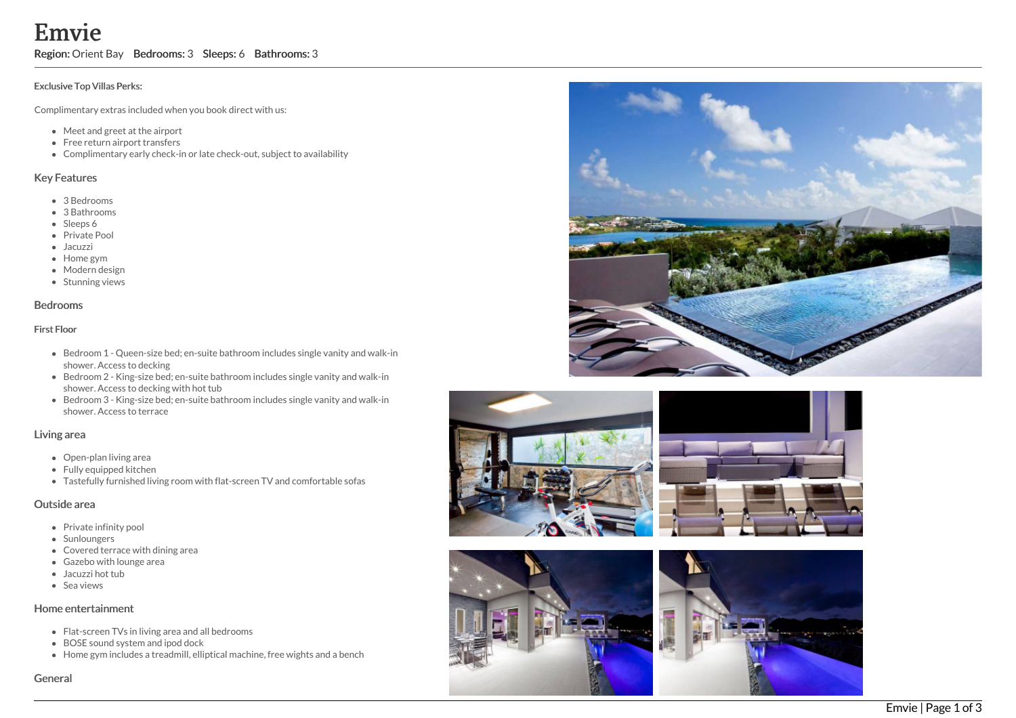**Exclusive Top**<br> **Exclusive Top**<br> **Complimenta**<br>
• Meet a<br>
• Free re<br>
• Compl<br> **Key Feature**<br>
• 3 Bedr<br>
• 3 Bath<br>
• Sleeps<br>
• Private<br>
• Moder<br>
• Stunni<br> **Bedrooms**<br> **First Floor**<br>
• Bedrooms<br> **Bedrooms**<br> **First Floor**<br>
• i e

Region: Orient Bay Bedrooms: 3 Sleeps: 6 Bathrooms: 3

### Exclusive Top Villas Perks:

Complimentary extras included when you book direct with us:

- Meet and greet at the airport
- Free return airport transfers
- Complimentary early check-in or late check-out, subject to availability

### Key Features

- 3 B e d r o o m s
- 3 Bathrooms
- Sleeps 6
- Private Pool
- Jacuzzi
- Home gym
- Modern desig n
- Stunning views

### **Bedrooms**

### First Floor

- Bedroom 1 Queen-size bed; en-suite bathroom includes single vanity and walk-in shower. Access to decking
- Bedroom 2 King-size bed; en-suite bathroom includes single vanity and walk-in shower. Access to decking with hot tub
- Bedroom 3 King-size bed; en-suite bathroom includes single vanity and walk-in shower. Access to terrace

## Living area

- Open-plan living area
- Fully equipped kitchen
- Tastefully furnished living room with flat-screen TV and comfortable sofas

# Outside area

- Private infinity pool
- Sunloungers
- Covered terrace with dining area
- Gazebo with lounge area
- Jacuzzi hot tub
- S e a vie w s

### Home entertainment

- Flat-screen TVs in living area and all bedrooms
- BOSE sound system and ipod dock
- Home gym includes a treadmill, elliptical machine, free wights and a bench

### Genera









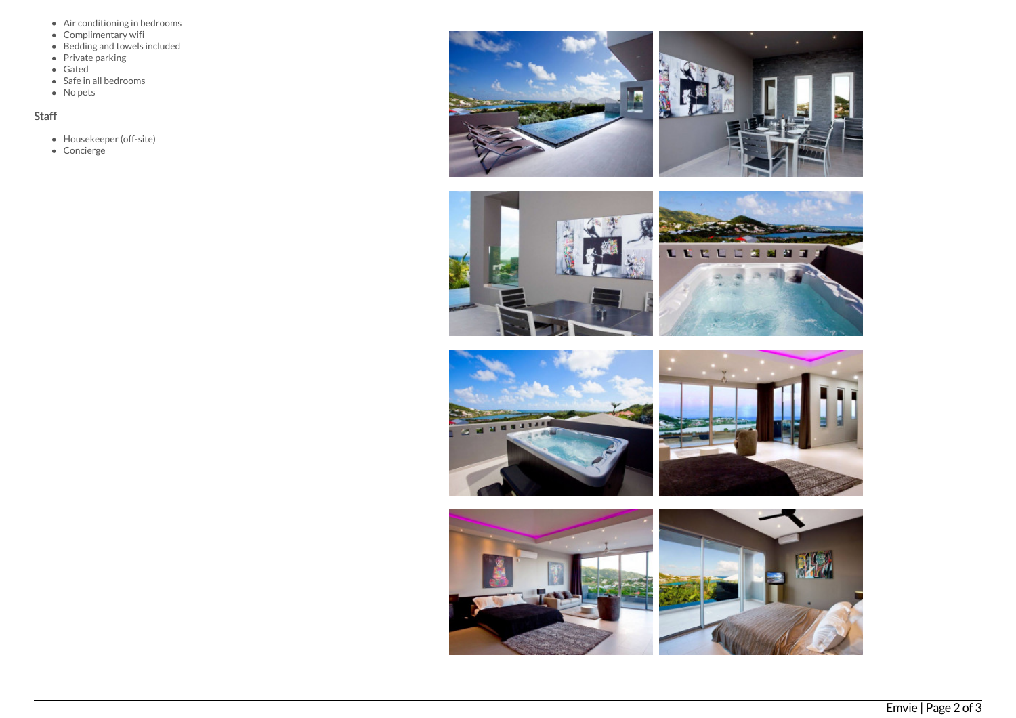- Air conditioning in bedrooms
- Complimentary wifi
- Bedding and towels included
- Private parking
- Gated
- Safe in all bedrooms
- No pets

# Staff

- Housekeeper (off-site)
- Concierge